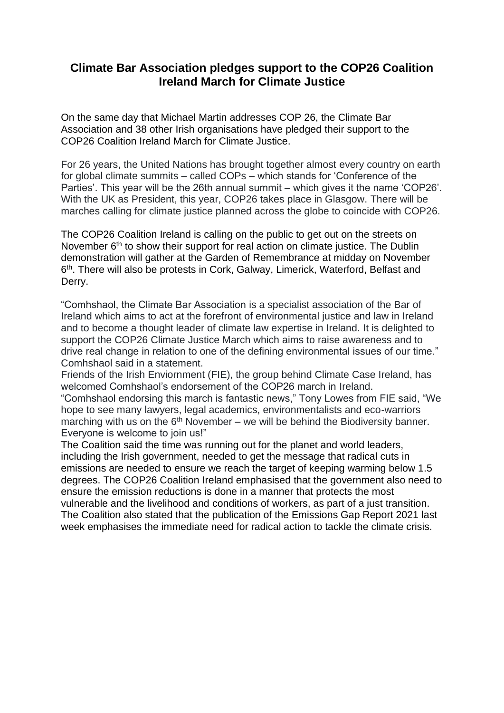## **Climate Bar Association pledges support to the COP26 Coalition Ireland March for Climate Justice**

On the same day that Michael Martin addresses COP 26, the Climate Bar Association and 38 other Irish organisations have pledged their support to the COP26 Coalition Ireland March for Climate Justice.

For 26 years, the United Nations has brought together almost every country on earth for global climate summits – called COPs – which stands for 'Conference of the Parties'. This year will be the 26th annual summit – which gives it the name 'COP26'. With the UK as President, this year, COP26 takes place in Glasgow. There will be marches calling for climate justice planned across the globe to coincide with COP26.

The COP26 Coalition Ireland is calling on the public to get out on the streets on November 6<sup>th</sup> to show their support for real action on climate justice. The Dublin demonstration will gather at the Garden of Remembrance at midday on November 6<sup>th</sup>. There will also be protests in Cork, Galway, Limerick, Waterford, Belfast and Derry.

"Comhshaol, the Climate Bar Association is a specialist association of the Bar of Ireland which aims to act at the forefront of environmental justice and law in Ireland and to become a thought leader of climate law expertise in Ireland. It is delighted to support the COP26 Climate Justice March which aims to raise awareness and to drive real change in relation to one of the defining environmental issues of our time." Comhshaol said in a statement.

Friends of the Irish Enviornment (FIE), the group behind Climate Case Ireland, has welcomed Comhshaol's endorsement of the COP26 march in Ireland. "Comhshaol endorsing this march is fantastic news," Tony Lowes from FIE said, "We hope to see many lawyers, legal academics, environmentalists and eco-warriors marching with us on the  $6<sup>th</sup>$  November – we will be behind the Biodiversity banner. Everyone is welcome to join us!"

The Coalition said the time was running out for the planet and world leaders, including the Irish government, needed to get the message that radical cuts in emissions are needed to ensure we reach the target of keeping warming below 1.5 degrees. The COP26 Coalition Ireland emphasised that the government also need to ensure the emission reductions is done in a manner that protects the most vulnerable and the livelihood and conditions of workers, as part of a just transition. The Coalition also stated that the publication of the Emissions Gap Report 2021 last week emphasises the immediate need for radical action to tackle the climate crisis.